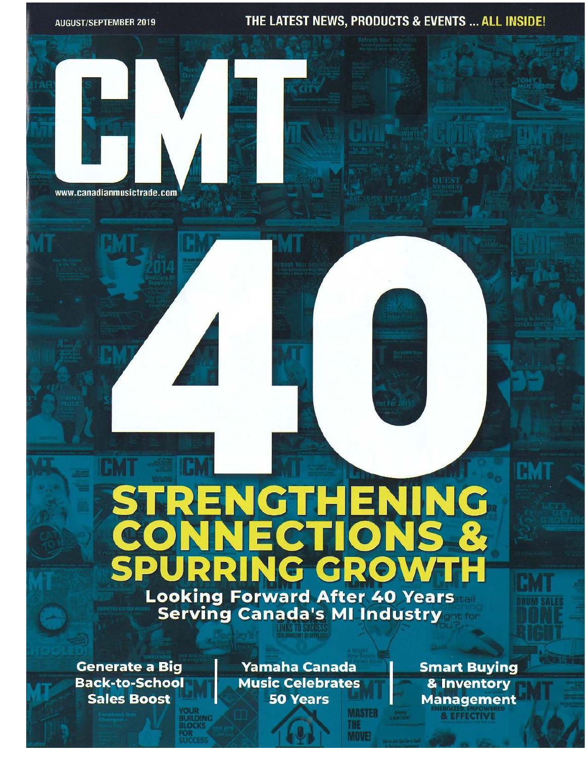**AUGUST/SEPTEMBER 2019** 

THE LATEST NEWS, PRODUCTS & EVENTS ... ALL INSIDE!

www.canadianmusictrade.com

# STRENGTHENING<br>CONNECTIONS & SPURRING GROWTH **Looking Forward After 40 Years**

**Serving Canada's MI Industry** 

**Generate a Big Back-to-School Sales Boost** 

**Yamaha Canada Music Celebrates 50 Years MASTER** 

> THE **MOVE!**

**Smart Buying** & Inventory **Management** & EFFECTIVE

**EMT**